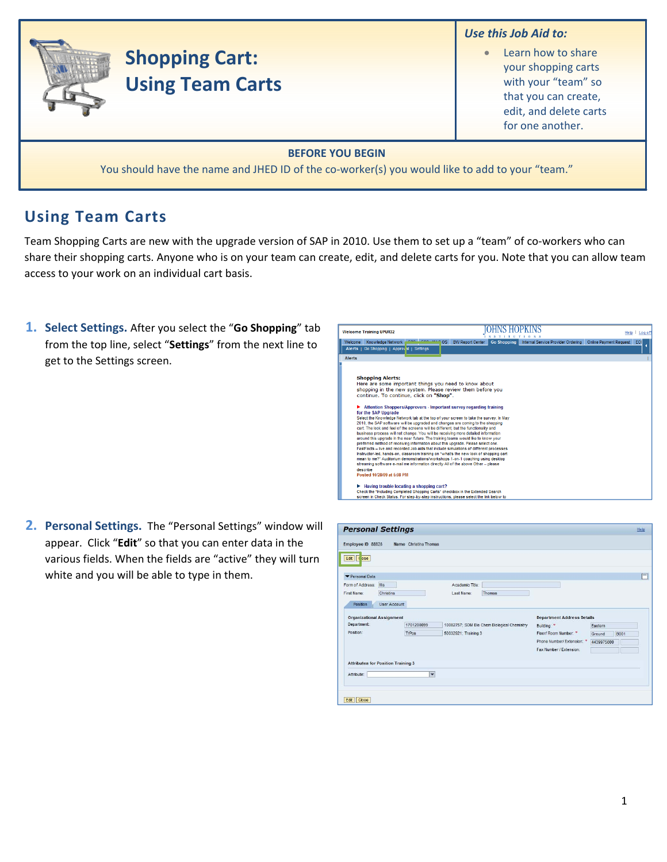## *Use this Job Aid to:*

• Learn how to share your shopping carts with your "team" so that you can create, edit, and delete carts for one another.

### **BEFORE YOU BEGIN**

You should have the name and JHED ID of the co-worker(s) you would like to add to your "team."

# **Using Team Carts**

Team Shopping Carts are new with the upgrade version of SAP in 2010. Use them to set up a "team" of co-workers who can share their shopping carts. Anyone who is on your team can create, edit, and delete carts for you. Note that you can allow team access to your work on an individual cart basis.

**1. Select Settings.** After you select the "**Go Shopping**" tab from the top line, select "**Settings**" from the next line to get to the Settings screen.

**Shopping Cart:**

**Using Team Carts**



**2. Personal Settings.** The "Personal Settings" window will appear. Click "**Edit**" so that you can enter data in the various fields. When the fields are "active" they will turn white and you will be able to type in them.

| Edit   Cose                               |                     |              |                                             |        |                                   |            |             |
|-------------------------------------------|---------------------|--------------|---------------------------------------------|--------|-----------------------------------|------------|-------------|
| Personal Data                             |                     |              |                                             |        |                                   |            |             |
| Form of Address: Ms                       |                     |              | Academic Title:                             |        |                                   |            |             |
| First Name:                               | Christina           |              | Last Name:                                  | Thomas |                                   |            |             |
| Position                                  | <b>User Account</b> |              |                                             |        |                                   |            |             |
| <b>Organizational Assignment</b>          |                     |              |                                             |        | <b>Department Address Details</b> |            |             |
| Department:                               |                     | 1701200099   | 10002757; SOM Bio Chem Biological Chemistry |        | Building: *                       | Eastern    |             |
| Position:                                 |                     | TrPos        | 50032921; Training 3                        |        | Floor/ Room Number: *             | Ground     | <b>B001</b> |
|                                           |                     |              |                                             |        | Phone Number/ Extension: *        | 4439975600 |             |
|                                           |                     |              |                                             |        | Fax Number / Extension:           |            |             |
| <b>Attributes for Position Training 3</b> |                     |              |                                             |        |                                   |            |             |
|                                           |                     |              |                                             |        |                                   |            |             |
| Attribute:                                |                     | $\checkmark$ |                                             |        |                                   |            |             |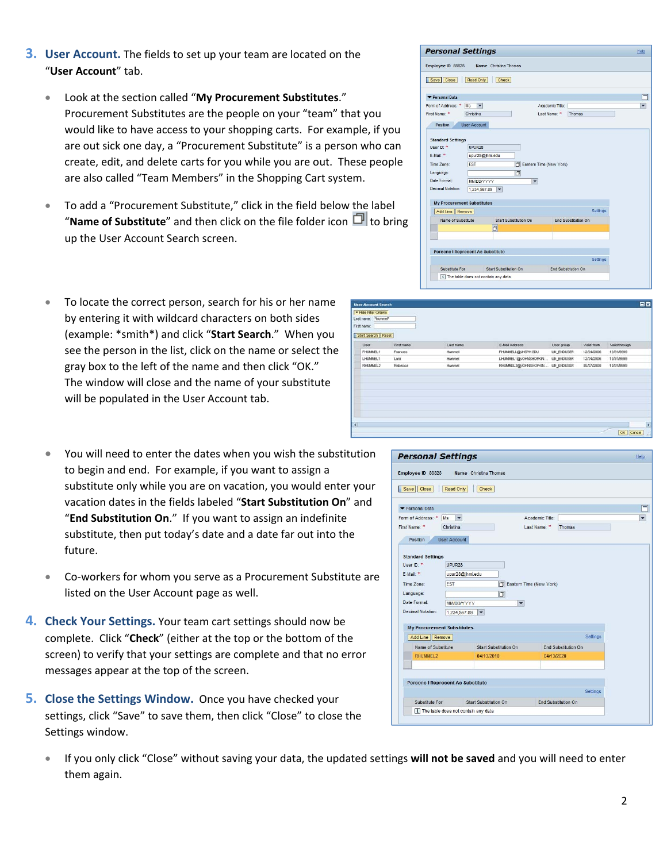## **3. User Account.** The fields to set up your team are located on the "**User Account**" tab.

- Look at the section called "**My Procurement Substitutes**." Procurement Substitutes are the people on your "team" that you would like to have access to your shopping carts. For example, if you are out sick one day, a "Procurement Substitute" is a person who can create, edit, and delete carts for you while you are out. These people are also called "Team Members" in the Shopping Cart system.
- To add a "Procurement Substitute," click in the field below the label "**Name of Substitute**" and then click on the file folder icon  $\Box$  to bring up the User Account Search screen.
- To locate the correct person, search for his or her name by entering it with wildcard characters on both sides (example: \*smith\*) and click "**Start Search**." When you see the person in the list, click on the name or select the gray box to the left of the name and then click "OK." The window will close and the name of your substitute will be populated in the User Account tab.
- You will need to enter the dates when you wish the substitution to begin and end. For example, if you want to assign a substitute only while you are on vacation, you would enter your vacation dates in the fields labeled "**Start Substitution On**" and "**End Substitution On**." If you want to assign an indefinite substitute, then put today's date and a date far out into the future.
- Co‐workers for whom you serve as a Procurement Substitute are listed on the User Account page as well.
- **4. Check Your Settings.** Your team cart settings should now be complete. Click "**Check**" (either at the top or the bottom of the screen) to verify that your settings are complete and that no error messages appear at the top of the screen.
- **5. Close the Settings Window.** Once you have checked your settings, click "Save" to save them, then click "Close" to close the Settings window.
	- If you only click "Close" without saving your data, the updated settings **will not be saved** and you will need to enter them again.

#### **Personal Settings** Help Employee ID 88828 Name Christina Thoma Save Close Read Only Check  $\Box$ Personal Data Form of Address: \* Ms v Academic Title:  $\overline{\phantom{0}}$ Last Name: \* Thomas First Name: \* Christina Position User Account **Standard Settings** UPUR28 User ID: \* E-Mail:  $*$ upur28@jhmi.edu Time Zone: EST Eastern Time (New York) Language  $\Box$ MM/DD/YYYY Date Format:  $\vert \cdot \vert$ Decimal Notation: 1,234,567.89 My Procurement Substitutes Add Line | Remove Name of Substitute Start Substitution On End Substitution On Persons I Represent As Substitute Substitute For Start Substitution Or Fnd Su [i] The table does not contain any data

| <b>User Account Search</b>                                          |            |                       |            |                                                                     |               | 日図            |
|---------------------------------------------------------------------|------------|-----------------------|------------|---------------------------------------------------------------------|---------------|---------------|
| - Hide Filter Criteris<br>Last name: "hummel"<br>Start Search Reset |            |                       |            |                                                                     |               |               |
| First name                                                          | Last ryane | <b>E-Mail Address</b> | User group | Valid from                                                          | Visit through |               |
| Frances                                                             | Hummel     | FHJMMELL@JHSPH.EDU    | UN_ENDUSER | 12/24/2006                                                          | 12/31/9999    |               |
| Larx                                                                | Hutmel     |                       |            | 12/24/2006                                                          | 12/31/9999    |               |
| Rebecco                                                             | Hummel     |                       |            | 05/27/2000                                                          | 12/31/9999    |               |
|                                                                     |            |                       |            |                                                                     |               | E             |
|                                                                     |            |                       |            |                                                                     |               | $\mathcal{A}$ |
|                                                                     |            |                       |            | LHUMMEL1@JOHNSHOPKIN  UN ENDUSER<br>RHUMMEL2@JOHNSHOPHIN UN_ENDUSER |               | OK Cancel     |

| Employee ID 88828<br>Close<br>Read Only<br>Save   | <b>Name</b> Christina Thomas<br>Check    |                                        |   |
|---------------------------------------------------|------------------------------------------|----------------------------------------|---|
|                                                   |                                          |                                        |   |
| Personal Data                                     |                                          |                                        |   |
| Form of Address: * Ms<br>$\overline{\phantom{a}}$ |                                          | Academic Title:                        | ٠ |
| First Name: *<br>Christina                        |                                          | Last Name: *<br><b>Thomas</b>          |   |
| <b>User Account</b><br>Position                   |                                          |                                        |   |
|                                                   |                                          |                                        |   |
| <b>Standard Settings</b>                          |                                          |                                        |   |
| User ID: #<br>UPUR <sub>28</sub>                  |                                          |                                        |   |
| F-Mail: *                                         | upur28@jhmi.edu                          |                                        |   |
| Time Zone:<br><b>EST</b>                          | Eastern Time (New York)                  |                                        |   |
| Language:                                         | n                                        |                                        |   |
| Date Format:                                      | <b>MM/DD/YYYY</b><br>$\checkmark$        |                                        |   |
| Decimal Notation:                                 | 1,234,567.89<br>$\overline{\phantom{0}}$ |                                        |   |
|                                                   |                                          |                                        |   |
| <b>My Procurement Substitutes</b>                 |                                          |                                        |   |
| Add Line Remove                                   |                                          | <b>Settings</b>                        |   |
| Name of Substitute                                | Start Substitution On                    | <b>End Substitution On</b>             |   |
| RHUMMEL2                                          | 04/13/2010                               | 04/13/2020                             |   |
|                                                   |                                          |                                        |   |
|                                                   |                                          |                                        |   |
|                                                   |                                          |                                        |   |
| <b>Persons I Represent As Substitute</b>          |                                          |                                        |   |
| Substitute For                                    | Start Substitution On                    | Settings<br><b>End Substitution On</b> |   |